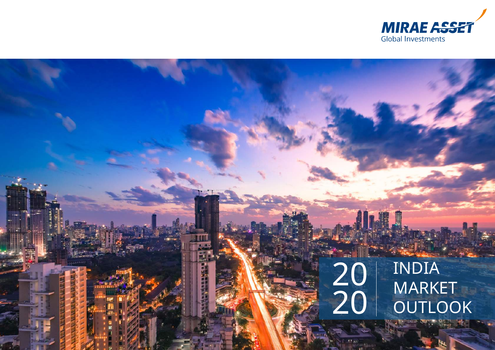

# 20 20

INDIA **MARKET OUTLOOK**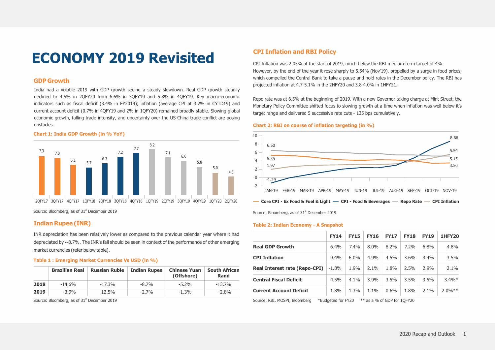# **ECONOMY 2019 Revisited**

#### **GDP Growth**

India had a volatile 2019 with GDP growth seeing a steady slowdown. Real GDP growth steadily declined to 4.5% in 2QFY20 from 6.6% in 3QFY19 and 5.8% in 4QFY19. Key macro-economic indicators such as fiscal deficit (3.4% in FY2019); inflation (average CPI at 3.2% in CYTD19) and current account deficit (0.7% in 4QFY19 and 2% in 1QFY20) remained broadly stable. Slowing global economic growth, falling trade intensity, and uncertainty over the US-China trade conflict are posing obstacles.

#### **Chart 1: India GDP Growth (in % YoY)**



Source: Bloomberg, as of 31<sup>st</sup> December 2019

#### **Indian Rupee (INR)**

INR depreciation has been relatively lower as compared to the previous calendar year where it had depreciated by  $\sim$ 8.7%. The INR's fall should be seen in context of the performance of other emerging market currencies (refer below table).

#### **Table 1 : Emerging Market Currencies Vs USD (in %)**

|      | <b>Brazilian Real</b> | <b>Russian Ruble</b> | <b>Indian Rupee</b> | <b>Chinese Yuan</b><br>(Offshore) | <b>South African</b><br><b>Rand</b> |
|------|-----------------------|----------------------|---------------------|-----------------------------------|-------------------------------------|
| 2018 | $-14.6\%$             | $-17.3%$             | $-8.7%$             | $-5.2%$                           | -13.7%                              |
| 2019 | $-3.9%$               | 12.5%                | $-2.7%$             | $-1.3%$                           | $-2.8\%$                            |

Source: Bloomberg, as of 31<sup>st</sup> December 2019

#### **CPI Inflation and RBI Policy**

CPI Inflation was 2.05% at the start of 2019, much below the RBI medium-term target of 4%. However, by the end of the year it rose sharply to 5.54% (Nov'19), propelled by a surge in food prices, which compelled the Central Bank to take a pause and hold rates in the December policy. The RBI has projected inflation at 4.7-5.1% in the 2HFY20 and 3.8-4.0% in 1HFY21.

Repo rate was at 6.5% at the beginning of 2019. With a new Governor taking charge at Mint Street, the Monetary Policy Committee shifted focus to slowing growth at a time when inflation was well below it's target range and delivered 5 successive rate cuts - 135 bps cumulatively.

#### **Chart 2: RBI on course of inflation targeting (in %)**



Source: Bloomberg, as of 31<sup>st</sup> December 2019

#### **Table 2: Indian Economy - A Snapshot**

|                                      | <b>FY14</b> | <b>FY15</b>  | <b>FY16</b> | <b>FY17</b> | <b>FY18</b> | <b>FY19</b> | <b>1HFY20</b> |
|--------------------------------------|-------------|--------------|-------------|-------------|-------------|-------------|---------------|
| <b>Real GDP Growth</b>               | 6.4%        | 7.4%         | $8.0\%$     | $8.2\%$     | $7.2\%$     | $6.8\%$     | 4.8%          |
| <b>CPI Inflation</b>                 | 9.4%        | $6.0\%$      | $4.9\%$     | 4.5%        | $3.6\%$     | $3.4\%$     | 3.5%          |
| <b>Real Interest rate (Repo-CPI)</b> | $-1.8%$     | 1.9%         | $2.1\%$     | 1.8%        | 2.5%        | $2.9\%$     | 2.1%          |
| <b>Central Fiscal Deficit</b>        | 4.5%        | $4.1\%$      | $3.9\%$     | 3.5%        | 3.5%        | 3.5%        | $3.4\%*$      |
| <b>Current Account Deficit</b>       | 1.8%        | 1.3%         | $1.1\%$     | $0.6\%$     | 1.8%        | $2.1\%$     | $2.0%**$      |
|                                      |             | $-1 - 1 - 1$ |             |             |             |             |               |

Source: RBI, MOSPI, Bloomberg \*Budgeted for FY20 \*\* as a % of GDP for 1QFY20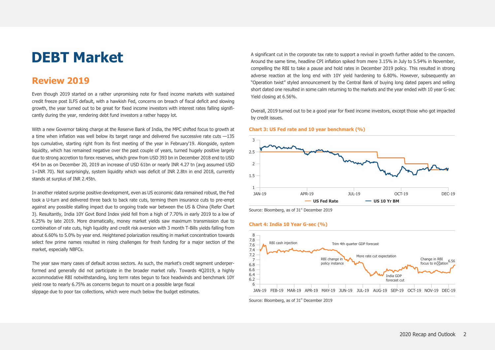# **DEBT Market**

## **Review 2019**

Even though 2019 started on a rather unpromising note for fixed income markets with sustained credit freeze post ILFS default, with a hawkish Fed, concerns on breach of fiscal deficit and slowing growth, the year turned out to be great for fixed income investors with interest rates falling significantly during the year, rendering debt fund investors a rather happy lot.

With a new Governor taking charge at the Reserve Bank of India, the MPC shifted focus to growth at a time when inflation was well below its target range and delivered five successive rate cuts  $-135$ bps cumulative, starting right from its first meeting of the year in February'19. Alongside, system liquidity, which has remained negative over the past couple of years, turned hugely positive largely due to strong accretion to forex reserves, which grew from USD 393 bn in December 2018 end to USD 454 bn as on December 20, 2019 an increase of USD 61bn or nearly INR 4.27 tn (avg assumed USD 1=INR 70). Not surprisingly, system liquidity which was deficit of INR 2.8tn in end 2018, currently stands at surplus of INR 2.45tn.

In another related surprise positive development, even as US economic data remained robust, the Fed took a U-turn and delivered three back to back rate cuts, terming them insurance cuts to pre-empt against any possible stalling impact due to ongoing trade war between the US & China (Refer Chart 3). Resultantly, India 10Y Govt Bond Index yield fell from a high of 7.70% in early 2019 to a low of 6.25% by late 2019. More dramatically, money market yields saw maximum transmission due to combination of rate cuts, high liquidity and credit risk aversion with 3 month T-Bills yields falling from about 6.60% to 5.0% by year end. Heightened polarization resulting in market concentration towards select few prime names resulted in rising challenges for fresh funding for a major section of the market, especially NBFCs.

The year saw many cases of default across sectors. As such, the market's credit segment underperformed and generally did not participate in the broader market rally. Towards 4Q2019, a highly accommodative RBI notwithstanding, long term rates begun to face headwinds and benchmark 10Y yield rose to nearly 6.75% as concerns begun to mount on a possible large fiscal slippage due to poor tax collections, which were much below the budget estimates.

A significant cut in the corporate tax rate to support a revival in growth further added to the concern. Around the same time, headline CPI inflation spiked from mere 3.15% in July to 5.54% in November, compelling the RBI to take a pause and hold rates in December 2019 policy. This resulted in strong adverse reaction at the long end with 10Y yield hardening to 6.80%. However, subsequently an "Operation twist" styled announcement by the Central Bank of buying long dated papers and selling short dated one resulted in some calm returning to the markets and the year ended with 10 year G-sec Yield closing at 6.56%.

Overall, 2019 turned out to be a good year for fixed income investors, except those who got impacted by credit issues.

#### **Chart 3: US Fed rate and 10 year benchmark (%)**



Source: Bloomberg, as of 31<sup>st</sup> December 2019

#### **Chart 4: India 10 Year G-sec (%)**



Source: Bloomberg, as of 31<sup>st</sup> December 2019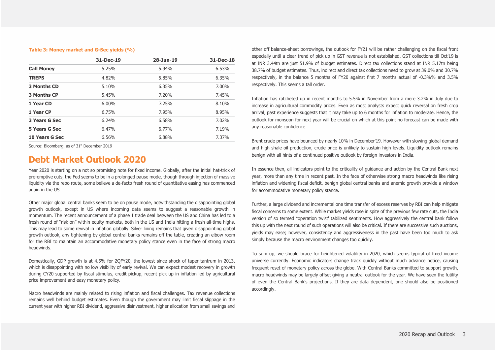#### **Table 3: Money market and G-Sec yields (%)**

|                    | 31-Dec-19 | 28-Jun-19 | $31 - Dec-18$ |
|--------------------|-----------|-----------|---------------|
| <b>Call Money</b>  | 5.25%     | 5.94%     | 6.53%         |
| <b>TREPS</b>       | 4.82%     | 5.85%     | 6.35%         |
| 3 Months CD        | 5.10%     | 6.35%     | 7.00%         |
| <b>3 Months CP</b> | 5.45%     | 7.20%     | 7.45%         |
| 1 Year CD          | $6.00\%$  | 7.25%     | 8.10%         |
| 1 Year CP          | 6.75%     | 7.95%     | 8.95%         |
| 3 Years G Sec      | 6.24%     | 6.58%     | 7.02%         |
| 5 Years G Sec      | 6.47%     | 6.77%     | 7.19%         |
| 10 Years G Sec     | 6.56%     | 6.88%     | 7.37%         |

Source: Bloomberg, as of 31<sup>st</sup> December 2019

## **Debt Market Outlook 2020**

Year 2020 is starting on a not so promising note for fixed income. Globally, after the initial hat-trick of pre-emptive cuts, the Fed seems to be in a prolonged pause mode, though through injection of massive liquidity via the repo route, some believe a de-facto fresh round of quantitative easing has commenced again in the US.

Other major global central banks seem to be on pause mode, notwithstanding the disappointing global growth outlook, except in US where incoming data seems to suggest a reasonable growth in momentum. The recent announcement of a phase 1 trade deal between the US and China has led to a fresh round of "risk on" within equity markets, both in the US and India hitting a fresh all-time highs. This may lead to some revival in inflation globally. Silver lining remains that given disappointing global growth outlook, any tightening by global central banks remains off the table, creating an elbow room for the RBI to maintain an accommodative monetary policy stance even in the face of strong macro headwinds.

Domestically, GDP growth is at 4.5% for 2QFY20, the lowest since shock of taper tantrum in 2013, which is disappointing with no low visibility of early revival. We can expect modest recovery in growth during CY20 supported by fiscal stimulus, credit pickup, recent pick up in inflation led by agricultural price improvement and easy monetary policy.

Macro headwinds are mainly related to rising inflation and fiscal challenges. Tax revenue collections remains well behind budget estimates. Even though the government may limit fiscal slippage in the current year with higher RBI dividend, aggressive disinvestment, higher allocation from small savings and other off balance-sheet borrowings, the outlook for FY21 will be rather challenging on the fiscal front especially until a clear trend of pick up in GST revenue is not established. GST collections till Oct'19 is at INR 3.44tn are just 51.9% of budget estimates. Direct tax collections stand at INR 5.17tn being 38.7% of budget estimates. Thus, indirect and direct tax collections need to grow at 39.0% and 30.7% respectively, in the balance 5 months of FY20 against first 7 months actual of -0.3%% and 3.5% respectively. This seems a tall order.

Inflation has ratcheted up in recent months to 5.5% in November from a mere 3.2% in July due to increase in agricultural commodity prices. Even as most analysts expect quick reversal on fresh crop arrival, past experience suggests that it may take up to 6 months for inflation to moderate. Hence, the outlook for monsoon for next year will be crucial on which at this point no forecast can be made with any reasonable confidence.

Brent crude prices have bounced by nearly 10% in December'19. However with slowing global demand and high shale oil production, crude price is unlikely to sustain high levels. Liquidity outlook remains benign with all hints of a continued positive outlook by foreign investors in India.

In essence then, all indicators point to the criticality of guidance and action by the Central Bank next year, more than any time in recent past. In the face of otherwise strong macro headwinds like rising inflation and widening fiscal deficit, benign global central banks and anemic growth provide a window for accommodative monetary policy stance.

Further, a large dividend and incremental one time transfer of excess reserves by RBI can help mitigate fiscal concerns to some extent. While market yields rose in spite of the previous few rate cuts, the India version of so termed "operation twist' tabilized sentiments. How aggressively the central bank follow this up with the next round of such operations will also be critical. If there are successive such auctions, yields may ease; however, consistency and aggressiveness in the past have been too much to ask simply because the macro environment changes too quickly.

To sum up, we should brace for heightened volatility in 2020, which seems typical of fixed income universe currently. Economic indicators change track quickly without much advance notice, causing frequent reset of monetary policy across the globe. With Central Banks committed to support growth, macro headwinds may be largely offset giving a neutral outlook for the year. We have seen the futility of even the Central Bank's projections. If they are data dependent, one should also be positioned accordingly.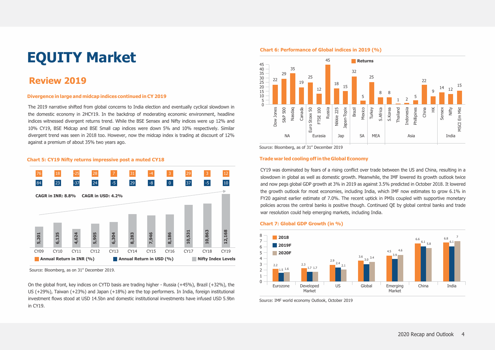# **EQUITY Market**

# **Review 2019**

#### **Divergence in large and midcap indices continued in CY 2019**

The 2019 narrative shifted from global concerns to India election and eventually cyclical slowdown in the domestic economy in 2HCY19. In the backdrop of moderating economic environment, headline indices witnessed divergent returns trend. While the BSE Sensex and Nifty indices were up 12% and 10% CY19, BSE Midcap and BSE Small cap indices were down 5% and 10% respectively. Similar divergent trend was seen in 2018 too. However, now the midcap index is trading at discount of 12% against a premium of about 35% two years ago.

#### **Chart 5: CY19 Nifty returns impressive post a muted CY18**



Source: Bloomberg, as on 31<sup>st</sup> December 2019.

On the global front, key indices on CYTD basis are trading higher - Russia (+45%), Brazil (+32%), the US (+29%), Taiwan (+23%) and Japan (+18%) are the top performers. In India, foreign institutional investment flows stood at USD 14.5bn and domestic institutional investments have infused USD 5.9bn in CY19.

#### **Chart 6: Performance of Global indices in 2019 (%)**



Source: Bloomberg, as of 31<sup>st</sup> December 2019

#### **Trade war led cooling off in the Global Economy**

CY19 was dominated by fears of a rising conflict over trade between the US and China, resulting in a slowdown in global as well as domestic growth. Meanwhile, the IMF lowered its growth outlook twice and now pegs global GDP growth at 3% in 2019 as against 3.5% predicted in October 2018. It lowered the growth outlook for most economies, including India, which IMF now estimates to grow 6.1% in FY20 against earlier estimate of 7.0%. The recent uptick in PMIs coupled with supportive monetary policies across the central banks is positive though. Continued QE by global central banks and trade war resolution could help emerging markets, including India.

#### **Chart 7: Global GDP Growth (in %)**



Source: IMF world economy Outlook, October 2019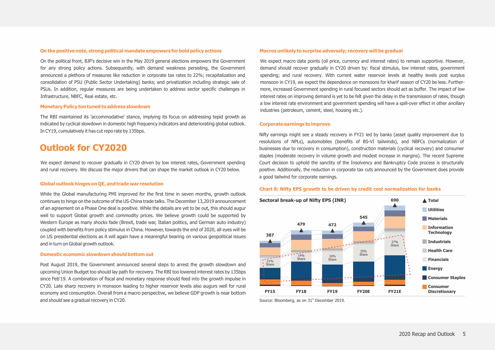#### **On the positive note, strong political mandate empowers for bold policy actions**

On the political front, BJP's decisive win in the May 2019 general elections empowers the Government for any strong policy actions. Subsequently, with demand weakness persisting, the Government announced a plethora of measures like reduction in corporate tax rates to 22%; recapitalization and consolidation of PSU (Public Sector Undertaking) banks; and privatization including strategic sale of PSUs. In addition, regular measures are being undertaken to address sector specific challenges in Infrastructure, NBFC, Real estate, etc.

#### **Monetary Policy too tuned to address slowdown**

The RBI maintained its 'accommodative' stance, implying its focus on addressing tepid growth as indicated by cyclical slowdown in domestic high frequency indicators and deteriorating global outlook. In CY19, cumulatively it has cut repo rate by 135bps.

## **Outlook for CY2020**

We expect demand to recover gradually in CY20 driven by low interest rates, Government spending and rural recovery. We discuss the major drivers that can shape the market outlook in CY20 below.

#### **Global outlook hinges on QE, and trade war resolution**

While the Global manufacturing PMI improved for the first time in seven months, growth outlook continues to hinge on the outcome of the US-China trade talks. The December 13,2019 announcement of an agreement on a Phase One deal is positive. While the details are yet to be out, this should augur well to support Global growth and commodity prices. We believe growth could be supported by Western Europe as many shocks fade (Brexit, trade war, Italian politics, and German auto industry) coupled with benefits from policy stimulus in China. However, towards the end of 2020, all eyes will be on US presidential elections as it will again have a meaningful bearing on various geopolitical issues and in turn on Global growth outlook.

#### **Domestic economic slowdown should bottom out**

Post August 2019, the Government announced several steps to arrest the growth slowdown and upcoming Union Budget too should lay path for recovery. The RBI too lowered interest rates by 135bps since Feb'19. A combination of fiscal and monetary response should feed into the growth impulse in CY20. Late sharp recovery in monsoon leading to higher reservoir levels also augurs well for rural economy and consumption. Overall from a macro perspective, we believe GDP growth is near bottom and should see a gradual recovery in CY20.

#### **Macros unlikely to surprise adversely; recovery will be gradual**

We expect macro data points (oil price, currency and interest rates) to remain supportive. However, demand should recover gradually in CY20 driven by: fiscal stimulus, low interest rates, government spending; and rural recovery. With current water reservoir levels at healthy levels post surplus monsoon in CY19, we expect the dependence on monsoons for kharif season of CY20 be less. Furthermore, increased Government spending in rural focused sectors should act as buffer. The impact of low interest rates on improving demand is yet to be felt given the delay in the transmission of rates, though a low interest rate environment and government spending will have a spill-over effect in other ancillary industries (petroleum, cement, steel, housing etc.).

#### **Corporate earnings to improve**

Nifty earnings might see a steady recovery in FY21 led by banks (asset quality improvement due to resolutions of NPLs), automobiles (benefits of BS-VI tailwinds), and NBFCs (normalization of businesses due to recovery in consumption), construction materials (cyclical recovery) and consumer staples (moderate recovery in volume growth and modest increase in margins). The recent Supreme Court decision to uphold the sanctity of the Insolvency and Bankruptcy Code process is structurally positive. Additionally, the reduction in corporate tax cuts announced by the Government does provide a good tailwind for corporate earnings.

### **Chart 8: Nifty EPS growth to be driven by credit cost normalization for banks**



Source: Bloomberg, as on 31<sup>st</sup> December 2019.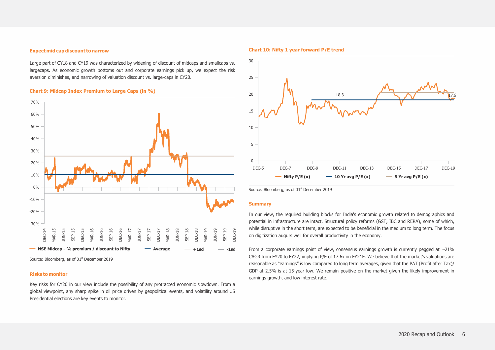#### **Expect mid cap discount to narrow**

Large part of CY18 and CY19 was characterized by widening of discount of midcaps and smallcaps vs. largecaps. As economic growth bottoms out and corporate earnings pick up, we expect the risk aversion diminishes, and narrowing of valuation discount vs. large-caps in CY20.

#### **Chart 9: Midcap Index Premium to Large Caps (in %)**



#### **Risks to monitor**

Key risks for CY20 in our view include the possibility of any protracted economic slowdown. From a global viewpoint, any sharp spike in oil price driven by geopolitical events, and volatility around US Presidential elections are key events to monitor.

#### **Chart 10: Nifty 1 year forward P/E trend**



Source: Bloomberg, as of 31<sup>st</sup> December 2019

#### **Summary**

In our view, the required building blocks for India's economic growth related to demographics and potential in infrastructure are intact. Structural policy reforms (GST, IBC and RERA), some of which, while disruptive in the short term, are expected to be beneficial in the medium to long term. The focus on digitization augurs well for overall productivity in the economy.

From a corporate earnings point of view, consensus earnings growth is currently pegged at  $\sim$ 21% CAGR from FY20 to FY22, implying P/E of 17.6x on FY21E. We believe that the market's valuations are reasonable as "earnings" is low compared to long term averages, given that the PAT (Profit after Tax)/ GDP at 2.5% is at 15-year low. We remain positive on the market given the likely improvement in earnings growth, and low interest rate.